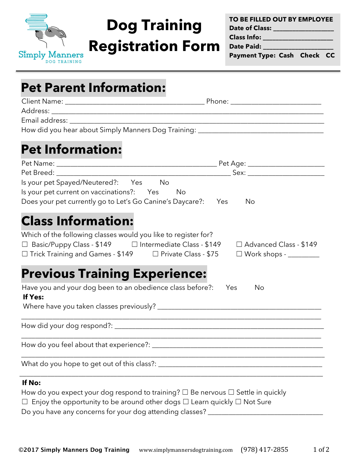

# **Dog Training**

**Registration Form**

**TO BE FILLED OUT BY EMPLOYEE Date of Class: \_\_\_\_\_\_\_\_\_\_\_\_\_\_\_\_\_\_\_**

**Class Info: \_\_\_\_\_\_\_\_\_\_\_\_\_\_\_\_\_\_\_\_\_\_**

**Date Paid: \_\_\_\_\_\_\_\_\_\_\_\_\_\_\_\_\_\_\_\_\_\_**

**Payment Type: Cash Check CC**

| <b>Pet Parent Information:</b> |
|--------------------------------|
|--------------------------------|

| How did you hear about Simply Manners Dog Training: ____________________________                                       |                                                         |
|------------------------------------------------------------------------------------------------------------------------|---------------------------------------------------------|
|                                                                                                                        |                                                         |
| <b>Pet Information:</b>                                                                                                |                                                         |
|                                                                                                                        |                                                         |
|                                                                                                                        |                                                         |
| Is your pet Spayed/Neutered?: Yes No                                                                                   |                                                         |
| Is your pet current on vaccinations?: Yes No                                                                           |                                                         |
| Does your pet currently go to Let's Go Canine's Daycare?: Yes                                                          | <b>No</b>                                               |
| Which of the following classes would you like to register for?                                                         | □ Advanced Class - \$149                                |
|                                                                                                                        |                                                         |
|                                                                                                                        | $\square$ Work shops - $\_\_\_\_\_\_\_\_\_\_\_\_\_\_\_$ |
| Have you and your dog been to an obedience class before?: Yes                                                          | No                                                      |
| $\Box$ Trick Training and Games - \$149 $\Box$ Private Class - \$75<br><b>Previous Training Experience:</b><br>If Yes: |                                                         |
|                                                                                                                        |                                                         |
|                                                                                                                        |                                                         |
|                                                                                                                        |                                                         |

### **If No:**

| How do you expect your dog respond to training? $\square$ Be nervous $\square$ Settle in quickly |
|--------------------------------------------------------------------------------------------------|
| $\Box$ Enjoy the opportunity to be around other dogs $\Box$ Learn quickly $\Box$ Not Sure        |
| Do you have any concerns for your dog attending classes?                                         |